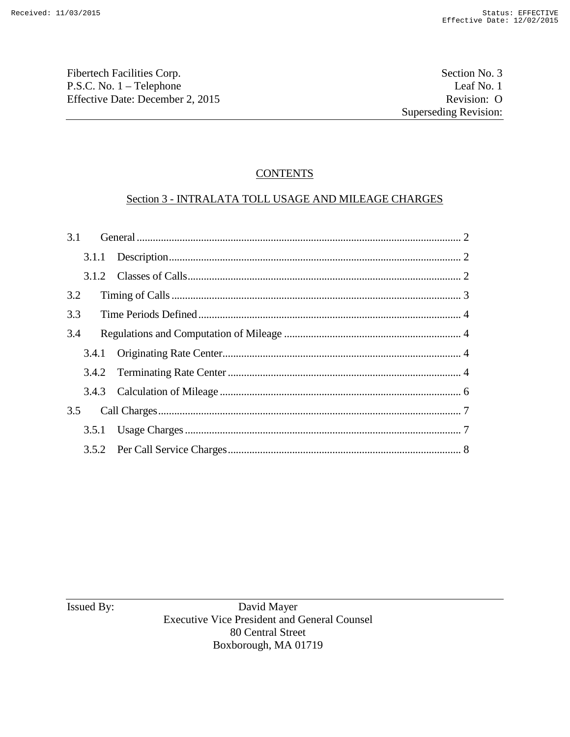Fibertech Facilities Corp. Section No. 3 P.S.C. No. 1 – Telephone Leaf No. 1<br>
Effective Date: December 2, 2015 Revision: O Effective Date: December 2, 2015

# **CONTENTS**

# Section 3 - INTRALATA TOLL USAGE AND MILEAGE CHARGES

| 3.2 |  |  |
|-----|--|--|
| 3.3 |  |  |
| 3.4 |  |  |
|     |  |  |
|     |  |  |
|     |  |  |
| 3.5 |  |  |
|     |  |  |
|     |  |  |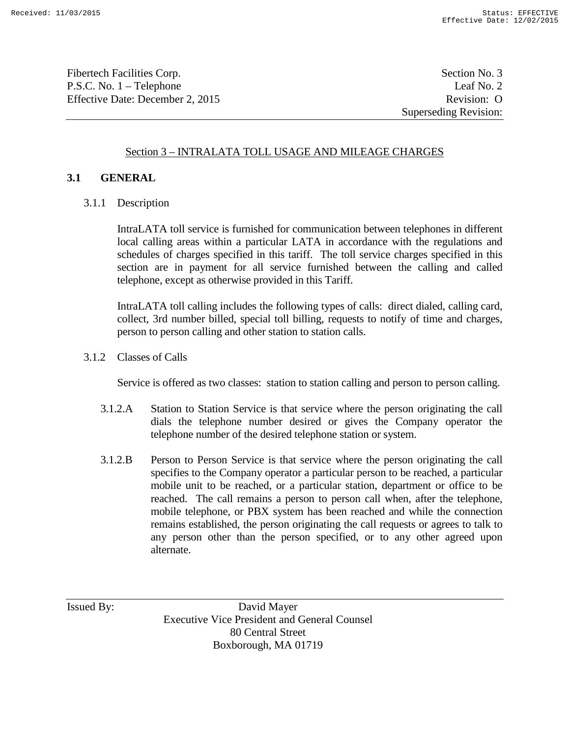Fibertech Facilities Corp. Section No. 3 P.S.C. No. 1 – Telephone Leaf No. 2 Effective Date: December 2, 2015 Revision: O

Superseding Revision:

# Section 3 – INTRALATA TOLL USAGE AND MILEAGE CHARGES

## **3.1 GENERAL**

3.1.1 Description

IntraLATA toll service is furnished for communication between telephones in different local calling areas within a particular LATA in accordance with the regulations and schedules of charges specified in this tariff. The toll service charges specified in this section are in payment for all service furnished between the calling and called telephone, except as otherwise provided in this Tariff.

IntraLATA toll calling includes the following types of calls: direct dialed, calling card, collect, 3rd number billed, special toll billing, requests to notify of time and charges, person to person calling and other station to station calls.

3.1.2 Classes of Calls

Service is offered as two classes: station to station calling and person to person calling.

- 3.1.2.A Station to Station Service is that service where the person originating the call dials the telephone number desired or gives the Company operator the telephone number of the desired telephone station or system.
- 3.1.2.B Person to Person Service is that service where the person originating the call specifies to the Company operator a particular person to be reached, a particular mobile unit to be reached, or a particular station, department or office to be reached. The call remains a person to person call when, after the telephone, mobile telephone, or PBX system has been reached and while the connection remains established, the person originating the call requests or agrees to talk to any person other than the person specified, or to any other agreed upon alternate.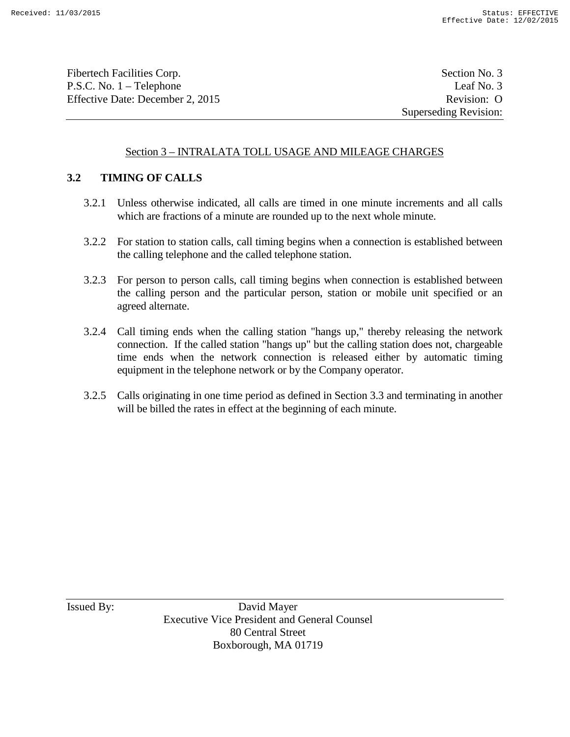Fibertech Facilities Corp. Section No. 3 P.S.C. No. 1 – Telephone Leaf No. 3 Effective Date: December 2, 2015 Revision: O

Superseding Revision:

# Section 3 – INTRALATA TOLL USAGE AND MILEAGE CHARGES

# **3.2 TIMING OF CALLS**

- 3.2.1 Unless otherwise indicated, all calls are timed in one minute increments and all calls which are fractions of a minute are rounded up to the next whole minute.
- 3.2.2 For station to station calls, call timing begins when a connection is established between the calling telephone and the called telephone station.
- 3.2.3 For person to person calls, call timing begins when connection is established between the calling person and the particular person, station or mobile unit specified or an agreed alternate.
- 3.2.4 Call timing ends when the calling station "hangs up," thereby releasing the network connection. If the called station "hangs up" but the calling station does not, chargeable time ends when the network connection is released either by automatic timing equipment in the telephone network or by the Company operator.
- 3.2.5 Calls originating in one time period as defined in Section 3.3 and terminating in another will be billed the rates in effect at the beginning of each minute.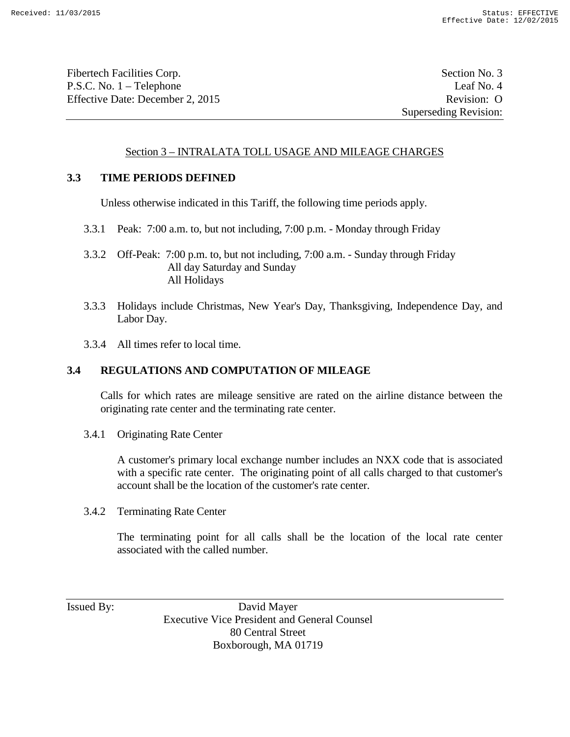Fibertech Facilities Corp. Section No. 3 P.S.C. No. 1 – Telephone Leaf No. 4 Effective Date: December 2, 2015 Revision: O

Superseding Revision:

## Section 3 – INTRALATA TOLL USAGE AND MILEAGE CHARGES

#### **3.3 TIME PERIODS DEFINED**

Unless otherwise indicated in this Tariff, the following time periods apply.

- 3.3.1 Peak: 7:00 a.m. to, but not including, 7:00 p.m. Monday through Friday
- 3.3.2 Off-Peak: 7:00 p.m. to, but not including, 7:00 a.m. Sunday through Friday All day Saturday and Sunday All Holidays
- 3.3.3 Holidays include Christmas, New Year's Day, Thanksgiving, Independence Day, and Labor Day.
- 3.3.4 All times refer to local time.

## **3.4 REGULATIONS AND COMPUTATION OF MILEAGE**

Calls for which rates are mileage sensitive are rated on the airline distance between the originating rate center and the terminating rate center.

3.4.1 Originating Rate Center

A customer's primary local exchange number includes an NXX code that is associated with a specific rate center. The originating point of all calls charged to that customer's account shall be the location of the customer's rate center.

3.4.2 Terminating Rate Center

The terminating point for all calls shall be the location of the local rate center associated with the called number.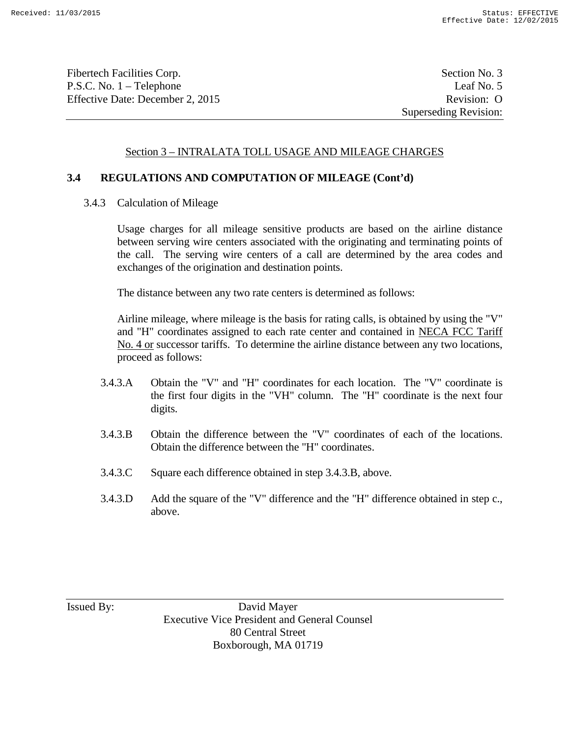Fibertech Facilities Corp. Section No. 3 P.S.C. No. 1 – Telephone Leaf No. 5 Effective Date: December 2, 2015 Revision: O

## Section 3 – INTRALATA TOLL USAGE AND MILEAGE CHARGES

#### **3.4 REGULATIONS AND COMPUTATION OF MILEAGE (Cont'd)**

3.4.3 Calculation of Mileage

Usage charges for all mileage sensitive products are based on the airline distance between serving wire centers associated with the originating and terminating points of the call. The serving wire centers of a call are determined by the area codes and exchanges of the origination and destination points.

The distance between any two rate centers is determined as follows:

Airline mileage, where mileage is the basis for rating calls, is obtained by using the "V" and "H" coordinates assigned to each rate center and contained in NECA FCC Tariff No. 4 or successor tariffs. To determine the airline distance between any two locations, proceed as follows:

- 3.4.3.A Obtain the "V" and "H" coordinates for each location. The "V" coordinate is the first four digits in the "VH" column. The "H" coordinate is the next four digits.
- 3.4.3.B Obtain the difference between the "V" coordinates of each of the locations. Obtain the difference between the "H" coordinates.
- 3.4.3.C Square each difference obtained in step 3.4.3.B, above.
- 3.4.3.D Add the square of the "V" difference and the "H" difference obtained in step c., above.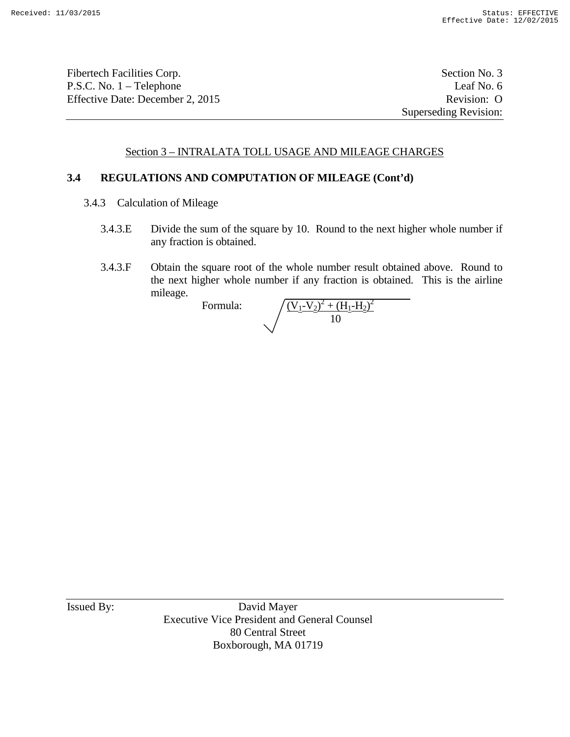Fibertech Facilities Corp. Section No. 3 P.S.C. No. 1 – Telephone Leaf No. 6 Effective Date: December 2, 2015 Revision: O

Superseding Revision:

# Section 3 – INTRALATA TOLL USAGE AND MILEAGE CHARGES

#### **3.4 REGULATIONS AND COMPUTATION OF MILEAGE (Cont'd)**

- 3.4.3 Calculation of Mileage
	- 3.4.3.E Divide the sum of the square by 10. Round to the next higher whole number if any fraction is obtained.
	- 3.4.3.F Obtain the square root of the whole number result obtained above. Round to the next higher whole number if any fraction is obtained. This is the airline mileage.

Formula:

$$
\sqrt{\frac{(V_1 - V_2)^2 + (H_1 - H_2)^2}{10}}
$$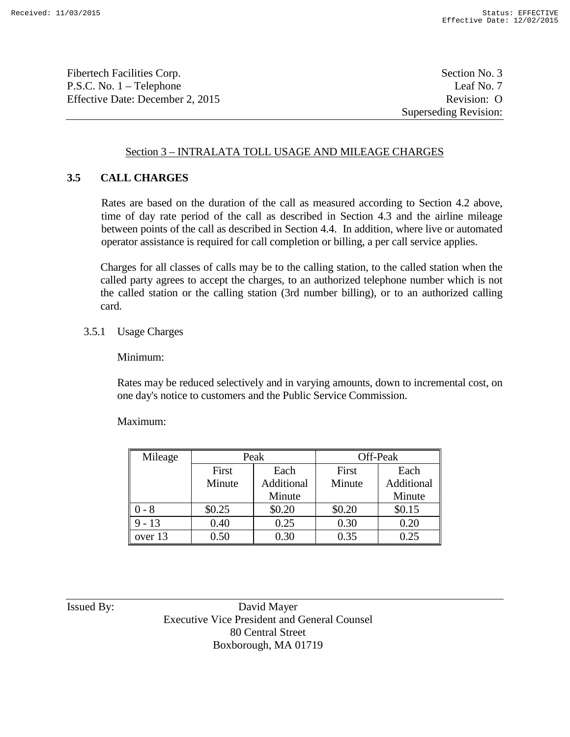Fibertech Facilities Corp. Section No. 3 P.S.C. No. 1 – Telephone Leaf No. 7 Effective Date: December 2, 2015 Revision: O

Superseding Revision:

# Section 3 – INTRALATA TOLL USAGE AND MILEAGE CHARGES

# **3.5 CALL CHARGES**

Rates are based on the duration of the call as measured according to Section 4.2 above, time of day rate period of the call as described in Section 4.3 and the airline mileage between points of the call as described in Section 4.4. In addition, where live or automated operator assistance is required for call completion or billing, a per call service applies.

Charges for all classes of calls may be to the calling station, to the called station when the called party agrees to accept the charges, to an authorized telephone number which is not the called station or the calling station (3rd number billing), or to an authorized calling card.

#### 3.5.1 Usage Charges

Minimum:

Rates may be reduced selectively and in varying amounts, down to incremental cost, on one day's notice to customers and the Public Service Commission.

Maximum:

| Mileage  | Peak   |            | Off-Peak |            |
|----------|--------|------------|----------|------------|
|          | First  | Each       | First    | Each       |
|          | Minute | Additional | Minute   | Additional |
|          |        | Minute     |          | Minute     |
| 0 - 8    | \$0.25 | \$0.20     | \$0.20   | \$0.15     |
| $9 - 13$ | 0.40   | 0.25       | 0.30     | 0.20       |
| over 13  | 0.50   | 0.30       | 0.35     | 0.25       |